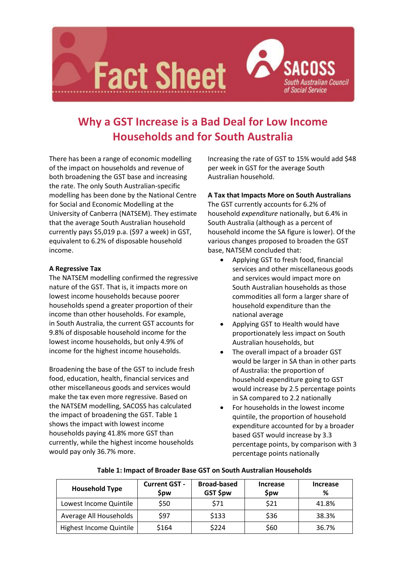

# **Why a GST Increase is a Bad Deal for Low Income Households and for South Australia**

There has been a range of economic modelling of the impact on households and revenue of both broadening the GST base and increasing the rate. The only South Australian-specific modelling has been done by the National Centre for Social and Economic Modelling at the University of Canberra (NATSEM). They estimate that the average South Australian household currently pays \$5,019 p.a. (\$97 a week) in GST, equivalent to 6.2% of disposable household income.

## **A Regressive Tax**

The NATSEM modelling confirmed the regressive nature of the GST. That is, it impacts more on lowest income households because poorer households spend a greater proportion of their income than other households. For example, in South Australia, the current GST accounts for 9.8% of disposable household income for the lowest income households, but only 4.9% of income for the highest income households.

Broadening the base of the GST to include fresh food, education, health, financial services and other miscellaneous goods and services would make the tax even more regressive. Based on the NATSEM modelling, SACOSS has calculated the impact of broadening the GST. Table 1 shows the impact with lowest income households paying 41.8% more GST than currently, while the highest income households would pay only 36.7% more.

Increasing the rate of GST to 15% would add \$48 per week in GST for the average South Australian household.

## **A Tax that Impacts More on South Australians**

The GST currently accounts for 6.2% of household *expenditure* nationally, but 6.4% in South Australia (although as a percent of household income the SA figure is lower). Of the various changes proposed to broaden the GST base, NATSEM concluded that:

- Applying GST to fresh food, financial services and other miscellaneous goods and services would impact more on South Australian households as those commodities all form a larger share of household expenditure than the national average
- Applying GST to Health would have proportionately less impact on South Australian households, but
- The overall impact of a broader GST would be larger in SA than in other parts of Australia: the proportion of household expenditure going to GST would increase by 2.5 percentage points in SA compared to 2.2 nationally
- For households in the lowest income quintile, the proportion of household expenditure accounted for by a broader based GST would increase by 3.3 percentage points, by comparison with 3 percentage points nationally

| <b>Household Type</b>   | <b>Current GST -</b><br>Spw | <b>Broad-based</b><br>GST \$pw | Increase<br>\$pw | Increase<br>% |
|-------------------------|-----------------------------|--------------------------------|------------------|---------------|
| Lowest Income Quintile  | \$50                        | \$71                           | \$21             | 41.8%         |
| Average All Households  | \$97                        | \$133                          | \$36             | 38.3%         |
| Highest Income Quintile | \$164                       | \$224                          | \$60             | 36.7%         |

#### **Table 1: Impact of Broader Base GST on South Australian Households**